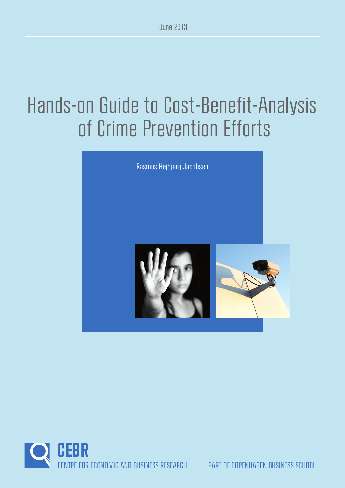# Hands-on Guide to Cost-Benefit-Analysis of Crime Prevention Efforts



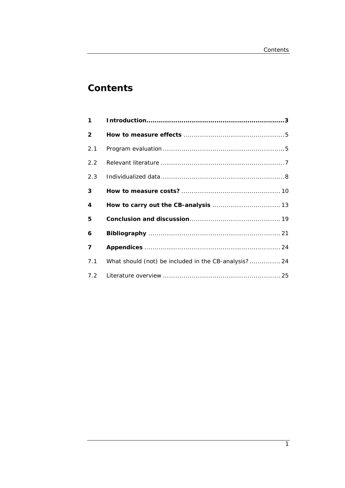# **Contents**

| $\mathbf 1$             |                                                      |
|-------------------------|------------------------------------------------------|
| $\overline{2}$          |                                                      |
| 2.1                     |                                                      |
| 2.2                     |                                                      |
| 2.3                     |                                                      |
| 3                       |                                                      |
| 4                       |                                                      |
|                         |                                                      |
| 5                       |                                                      |
| 6                       |                                                      |
| $\overline{\mathbf{z}}$ |                                                      |
| 7.1                     | What should (not) be included in the CB-analysis? 24 |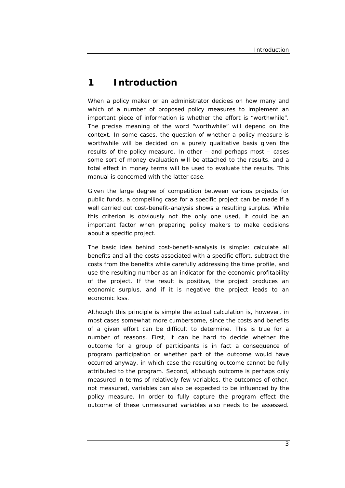# **1 Introduction**

When a policy maker or an administrator decides on how many and which of a number of proposed policy measures to implement an important piece of information is whether the effort is "worthwhile". The precise meaning of the word "worthwhile" will depend on the context. In some cases, the question of whether a policy measure is worthwhile will be decided on a purely qualitative basis given the results of the policy measure. In other – and perhaps most – cases some sort of money evaluation will be attached to the results, and a total effect in money terms will be used to evaluate the results. This manual is concerned with the latter case.

Given the large degree of competition between various projects for public funds, a compelling case for a specific project can be made if a well carried out cost-benefit-analysis shows a resulting surplus. While this criterion is obviously not the only one used, it could be an important factor when preparing policy makers to make decisions about a specific project.

The basic idea behind cost-benefit-analysis is simple: calculate all benefits and all the costs associated with a specific effort, subtract the costs from the benefits while carefully addressing the time profile, and use the resulting number as an indicator for the economic profitability of the project. If the result is positive, the project produces an economic surplus, and if it is negative the project leads to an economic loss.

Although this principle is simple the actual calculation is, however, in most cases somewhat more cumbersome, since the costs and benefits of a given effort can be difficult to determine. This is true for a number of reasons. First, it can be hard to decide whether the outcome for a group of participants is in fact a consequence of program participation or whether part of the outcome would have occurred anyway, in which case the resulting outcome cannot be fully attributed to the program. Second, although outcome is perhaps only measured in terms of relatively few variables, the outcomes of other, not measured, variables can also be expected to be influenced by the policy measure. In order to fully capture the program effect the outcome of these unmeasured variables also needs to be assessed.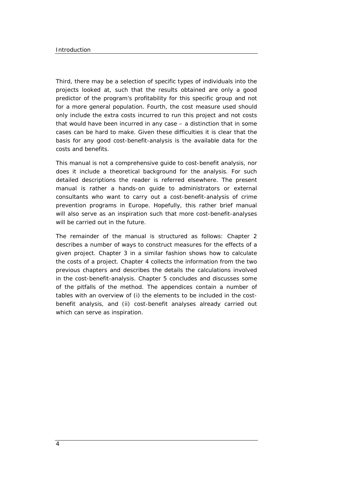Third, there may be a selection of specific types of individuals into the projects looked at, such that the results obtained are only a good predictor of the program's profitability for this specific group and not for a more general population. Fourth, the cost measure used should only include the extra costs incurred to run this project and not costs that would have been incurred in any case – a distinction that in some cases can be hard to make. Given these difficulties it is clear that the basis for any good cost-benefit-analysis is the available data for the costs and benefits.

This manual is not a comprehensive guide to cost-benefit analysis, nor does it include a theoretical background for the analysis. For such detailed descriptions the reader is referred elsewhere. The present manual is rather a hands-on guide to administrators or external consultants who want to carry out a cost-benefit-analysis of crime prevention programs in Europe. Hopefully, this rather brief manual will also serve as an inspiration such that more cost-benefit-analyses will be carried out in the future.

The remainder of the manual is structured as follows: Chapter 2 describes a number of ways to construct measures for the effects of a given project. Chapter 3 in a similar fashion shows how to calculate the costs of a project. Chapter 4 collects the information from the two previous chapters and describes the details the calculations involved in the cost-benefit-analysis. Chapter 5 concludes and discusses some of the pitfalls of the method. The appendices contain a number of tables with an overview of (i) the elements to be included in the costbenefit analysis, and (ii) cost-benefit analyses already carried out which can serve as inspiration.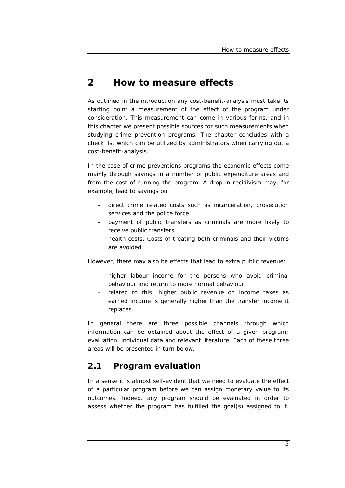# **2 How to measure effects**

As outlined in the introduction any cost-benefit-analysis must take its starting point a measurement of the effect of the program under consideration. This measurement can come in various forms, and in this chapter we present possible sources for such measurements when studying crime prevention programs. The chapter concludes with a check list which can be utilized by administrators when carrying out a cost-benefit-analysis.

In the case of crime preventions programs the economic effects come mainly through savings in a number of public expenditure areas and from the cost of running the program. A drop in recidivism may, for example, lead to savings on

- direct crime related costs such as incarceration, prosecution services and the police force.
- payment of public transfers as criminals are more likely to receive public transfers.
- health costs. Costs of treating both criminals and their victims are avoided.

However, there may also be effects that lead to extra public revenue:

- higher labour income for the persons who avoid criminal behaviour and return to more normal behaviour.
- related to this: higher public revenue on income taxes as earned income is generally higher than the transfer income it replaces.

In general there are three possible channels through which information can be obtained about the effect of a given program: evaluation, individual data and relevant literature. Each of these three areas will be presented in turn below.

# **2.1 Program evaluation**

In a sense it is almost self-evident that we need to evaluate the effect of a particular program before we can assign monetary value to its outcomes. Indeed, any program should be evaluated in order to assess whether the program has fulfilled the goal(s) assigned to it.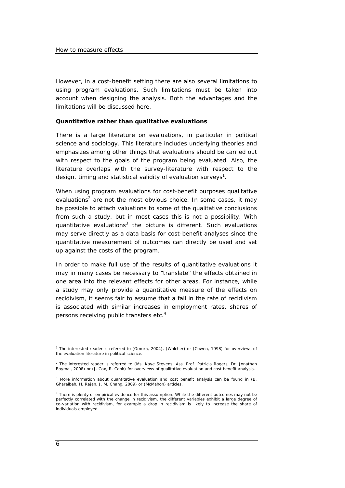However, in a cost-benefit setting there are also several limitations to using program evaluations. Such limitations must be taken into account when designing the analysis. Both the advantages and the limitations will be discussed here.

#### **Quantitative rather than qualitative evaluations**

There is a large literature on evaluations, in particular in political science and sociology. This literature includes underlying theories and emphasizes among other things that evaluations should be carried out with respect to the goals of the program being evaluated. Also, the literature overlaps with the survey-literature with respect to the design, timing and statistical validity of evaluation surveys<sup>1</sup>.

When using program evaluations for cost-benefit purposes qualitative evaluations<sup>2</sup> are not the most obvious choice. In some cases, it may be possible to attach valuations to some of the qualitative conclusions from such a study, but in most cases this is not a possibility. With quantitative evaluations<sup>3</sup> the picture is different. Such evaluations may serve directly as a data basis for cost-benefit analyses since the quantitative measurement of outcomes can directly be used and set up against the costs of the program.

In order to make full use of the results of quantitative evaluations it may in many cases be necessary to "translate" the effects obtained in one area into the relevant effects for other areas. For instance, while a study may only provide a quantitative measure of the effects on recidivism, it seems fair to assume that a fall in the rate of recidivism is associated with similar increases in employment rates, shares of persons receiving public transfers etc.4

<sup>&</sup>lt;sup>1</sup> The interested reader is referred to (Omura, 2004), (Wolcher) or (Cowen, 1998) for overviews of the evaluation literature in political science.

<sup>&</sup>lt;sup>2</sup> The interested reader is referred to (Ms. Kaye Stevens, Ass. Prof. Patricia Rogers, Dr. Jonathan Boymal, 2008) or (J. Cox, R. Cook) for overviews of qualitative evaluation and cost benefit analysis.

<sup>&</sup>lt;sup>3</sup> More information about quantitative evaluation and cost benefit analysis can be found in (B. Gharaibeh, H. Rajan, J. M. Chang, 2009) or (McMahon) articles.

<sup>&</sup>lt;sup>4</sup> There is plenty of empirical evidence for this assumption. While the different outcomes may not be perfectly correlated with the change in recidivism, the different variables exhibit a large degree of co-variation with recidivism, for example a drop in recidivism is likely to increase the share of individuals employed.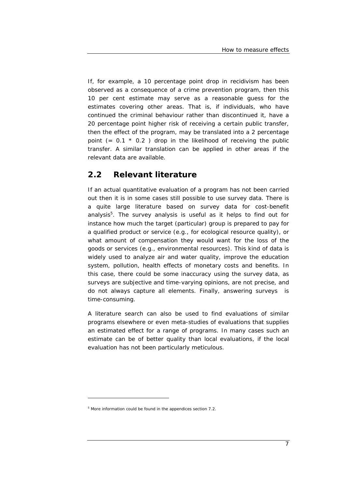If, for example, a 10 percentage point drop in recidivism has been observed as a consequence of a crime prevention program, then this 10 per cent estimate may serve as a reasonable guess for the estimates covering other areas. That is, if individuals, who have continued the criminal behaviour rather than discontinued it, have a 20 percentage point higher risk of receiving a certain public transfer, then the effect of the program, may be translated into a 2 percentage point  $(= 0.1 * 0.2)$  drop in the likelihood of receiving the public transfer. A similar translation can be applied in other areas if the relevant data are available.

# **2.2 Relevant literature**

If an actual quantitative evaluation of a program has not been carried out then it is in some cases still possible to use survey data. There is a quite large literature based on survey data for cost-benefit analysis<sup>5</sup>. The survey analysis is useful as it helps to find out for instance how much the target (particular) group is prepared to pay for a qualified product or service (e.g., for ecological resource quality), or what amount of compensation they would want for the loss of the goods or services (e.g., environmental resources). This kind of data is widely used to analyze air and water quality, improve the education system, pollution, health effects of monetary costs and benefits. In this case, there could be some inaccuracy using the survey data, as surveys are subjective and time-varying opinions, are not precise, and do not always capture all elements. Finally, answering surveys is time-consuming.

A literature search can also be used to find evaluations of similar programs elsewhere or even meta-studies of evaluations that supplies an estimated effect for a range of programs. In many cases such an estimate can be of better quality than local evaluations, if the local evaluation has not been particularly meticulous.

<sup>&</sup>lt;sup>5</sup> More information could be found in the appendices section 7.2.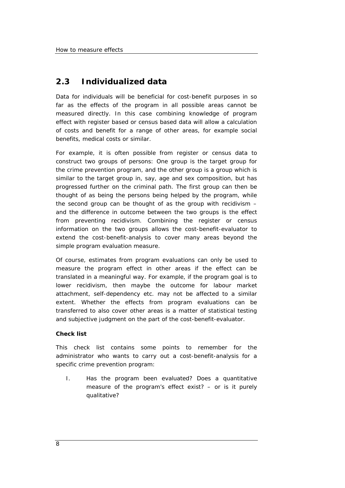# **2.3 Individualized data**

Data for individuals will be beneficial for cost-benefit purposes in so far as the effects of the program in all possible areas cannot be measured directly. In this case combining knowledge of program effect with register based or census based data will allow a calculation of costs and benefit for a range of other areas, for example social benefits, medical costs or similar.

For example, it is often possible from register or census data to construct two groups of persons: One group is the target group for the crime prevention program, and the other group is a group which is similar to the target group in, say, age and sex composition, but has progressed further on the criminal path. The first group can then be thought of as being the persons being helped by the program, while the second group can be thought of as the group with recidivism – and the difference in outcome between the two groups is the effect from preventing recidivism. Combining the register or census information on the two groups allows the cost-benefit-evaluator to extend the cost-benefit-analysis to cover many areas beyond the simple program evaluation measure.

Of course, estimates from program evaluations can only be used to measure the program effect in other areas if the effect can be translated in a meaningful way. For example, if the program goal is to lower recidivism, then maybe the outcome for labour market attachment, self-dependency etc. may not be affected to a similar extent. Whether the effects from program evaluations can be transferred to also cover other areas is a matter of statistical testing and subjective judgment on the part of the cost-benefit-evaluator.

## **Check list**

This check list contains some points to remember for the administrator who wants to carry out a cost-benefit-analysis for a specific crime prevention program:

I. Has the program been evaluated? Does a quantitative measure of the program's effect exist? – or is it purely qualitative?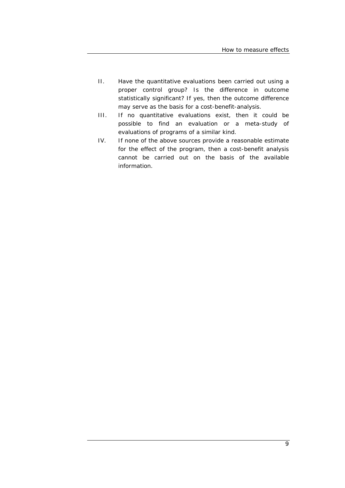- II. Have the quantitative evaluations been carried out using a proper control group? Is the difference in outcome statistically significant? If yes, then the outcome difference may serve as the basis for a cost-benefit-analysis.
- III. If no quantitative evaluations exist, then it could be possible to find an evaluation or a meta-study of evaluations of programs of a similar kind.
- IV. If none of the above sources provide a reasonable estimate for the effect of the program, then a cost-benefit analysis cannot be carried out on the basis of the available information.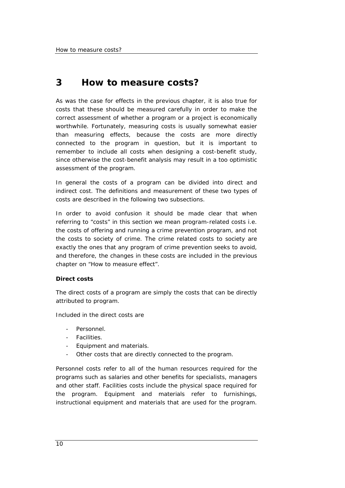# **3 How to measure costs?**

As was the case for effects in the previous chapter, it is also true for costs that these should be measured carefully in order to make the correct assessment of whether a program or a project is economically worthwhile. Fortunately, measuring costs is usually somewhat easier than measuring effects, because the costs are more directly connected to the program in question, but it is important to remember to include all costs when designing a cost-benefit study, since otherwise the cost-benefit analysis may result in a too optimistic assessment of the program.

In general the costs of a program can be divided into direct and indirect cost. The definitions and measurement of these two types of costs are described in the following two subsections.

In order to avoid confusion it should be made clear that when referring to "costs" in this section we mean program-related costs i.e. the costs of offering and running a crime prevention program, and *not* the costs to society of crime. The crime related costs to society are exactly the ones that any program of crime prevention seeks to avoid, and therefore, the changes in these costs are included in the previous chapter on "How to measure effect".

## **Direct costs**

The direct costs of a program are simply the costs that can be directly attributed to program.

Included in the direct costs are

- Personnel.
- Facilities.
- Equipment and materials.
- Other costs that are directly connected to the program.

Personnel costs refer to all of the human resources required for the programs such as salaries and other benefits for specialists, managers and other staff. Facilities costs include the physical space required for the program. Equipment and materials refer to furnishings, instructional equipment and materials that are used for the program.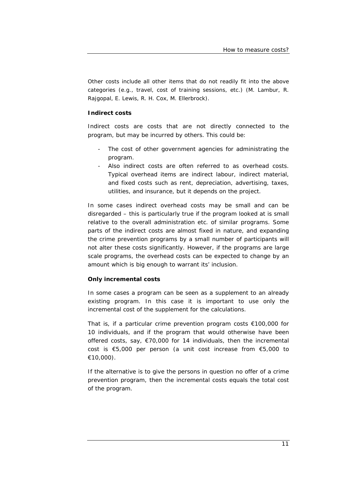Other costs include all other items that do not readily fit into the above categories (e.g., travel, cost of training sessions, etc.) (M. Lambur, R. Rajgopal, E. Lewis, R. H. Cox, M. Ellerbrock).

## **Indirect costs**

Indirect costs are costs that are not directly connected to the program, but may be incurred by others. This could be:

- The cost of other government agencies for administrating the program.
- Also indirect costs are often referred to as overhead costs. Typical overhead items are indirect labour, indirect material, and fixed costs such as rent, depreciation, advertising, taxes, utilities, and insurance, but it depends on the project.

In some cases indirect overhead costs may be small and can be disregarded – this is particularly true if the program looked at is small relative to the overall administration etc. of similar programs. Some parts of the indirect costs are almost fixed in nature, and expanding the crime prevention programs by a small number of participants will not alter these costs significantly. However, if the programs are large scale programs, the overhead costs can be expected to change by an amount which is big enough to warrant its' inclusion.

## **Only incremental costs**

In some cases a program can be seen as a supplement to an already existing program. In this case it is important to use only the incremental cost of the supplement for the calculations.

That is, if a particular crime prevention program costs €100,000 for 10 individuals, and if the program that would otherwise have been offered costs, say, €70,000 for 14 individuals, then the *incremental* cost is €5,000 per person (a unit cost increase from €5,000 to €10,000).

If the alternative is to give the persons in question no offer of a crime prevention program, then the incremental costs equals the total cost of the program.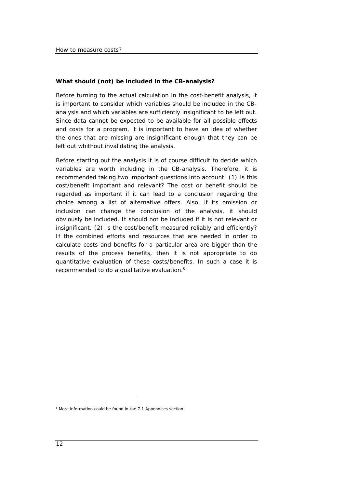## **What should (not) be included in the CB-analysis?**

Before turning to the actual calculation in the cost-benefit analysis, it is important to consider which variables should be included in the CBanalysis and which variables are sufficiently insignificant to be left out. Since data cannot be expected to be available for all possible effects and costs for a program, it is important to have an idea of whether the ones that are missing are insignificant enough that they can be left out whithout invalidating the analysis.

Before starting out the analysis it is of course difficult to decide which variables are worth including in the CB-analysis. Therefore, it is recommended taking two important questions into account: (1) *Is this cost/benefit important and relevant?* The cost or benefit should be regarded as important if it can lead to a conclusion regarding the choice among a list of alternative offers. Also, if its omission or inclusion can change the conclusion of the analysis, it should obviously be included. It should not be included if it is not relevant or insignificant. (2) *Is the cost/benefit measured reliably and efficiently?* If the combined efforts and resources that are needed in order to calculate costs and benefits for a particular area are bigger than the results of the process benefits, then it is not appropriate to do quantitative evaluation of these costs/benefits. In such a case it is recommended to do a qualitative evaluation.<sup>6</sup>

<sup>&</sup>lt;sup>6</sup> More information could be found in the 7.1 Appendices section.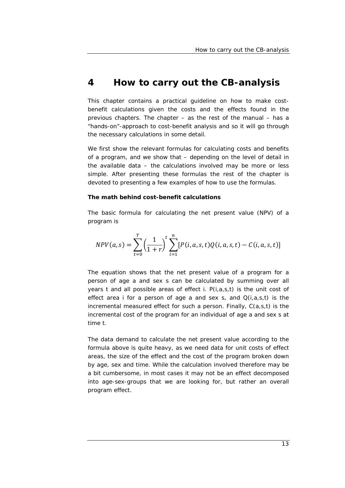# **4 How to carry out the CB-analysis**

This chapter contains a practical guideline on how to make costbenefit calculations given the costs and the effects found in the previous chapters. The chapter – as the rest of the manual – has a "hands-on"-approach to cost-benefit analysis and so it will go through the necessary calculations in some detail.

We first show the relevant formulas for calculating costs and benefits of a program, and we show that – depending on the level of detail in the available data – the calculations involved may be more or less simple. After presenting these formulas the rest of the chapter is devoted to presenting a few examples of how to use the formulas.

#### **The math behind cost-benefit calculations**

The basic formula for calculating the net present value (NPV) of a program is

$$
NPV(a,s) = \sum_{t=0}^{T} \left(\frac{1}{1+r}\right)^t \sum_{i=1}^{n} [P(i,a,s,t)Q(i,a,s,t) - C(i,a,s,t)]
$$

The equation shows that the net present value of a program for a person of age *a* and sex *s* can be calculated by summing over all years *t* and all possible areas of effect *i*. *P(i,a,s,t)* is the unit cost of effect area *i* for a person of age *a* and sex *s*, and *Q(i,a,s,t)* is the incremental measured effect for such a person. Finally, *C(a,s,t)* is the incremental cost of the program for an individual of age *a* and sex *s* at time *t.*

The data demand to calculate the net present value according to the formula above is quite heavy, as we need data for unit costs of effect areas, the size of the effect and the cost of the program broken down by age, sex and time. While the calculation involved therefore may be a bit cumbersome, in most cases it may not be an effect decomposed into age-sex-groups that we are looking for, but rather an overall program effect.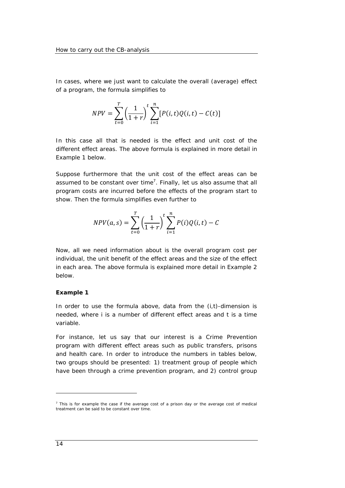In cases, where we just want to calculate the overall (average) effect of a program, the formula simplifies to

$$
NPV = \sum_{t=0}^{T} \left(\frac{1}{1+r}\right)^t \sum_{i=1}^{n} [P(i, t)Q(i, t) - C(t)]
$$

In this case all that is needed is the effect and unit cost of the different effect areas. The above formula is explained in more detail in *Example 1* below.

Suppose furthermore that the unit cost of the effect areas can be assumed to be constant over time<sup>7</sup>. Finally, let us also assume that all program costs are incurred before the effects of the program start to show. Then the formula simplifies even further to

$$
NPV(a,s) = \sum_{t=0}^{T} \left(\frac{1}{1+r}\right)^{t} \sum_{i=1}^{n} P(i)Q(i,t) - C
$$

Now, all we need information about is the overall program cost per individual, the unit benefit of the effect areas and the size of the effect in each area. The above formula is explained more detail in *Example 2* below.

#### **Example 1**

In order to use the formula above, data from the (*i,t*)-dimension is needed, where *i* is a number of different effect areas and *t* is a time variable.

For instance, let us say that our interest is a Crime Prevention program with different effect areas such as *public transfers*, *prisons* and *health care*. In order to introduce the numbers in tables below, two groups should be presented: 1) treatment group of people which have been through a crime prevention program, and 2) control group

 $<sup>7</sup>$  This is for example the case if the average cost of a prison day or the average cost of medical</sup> treatment can be said to be constant over time.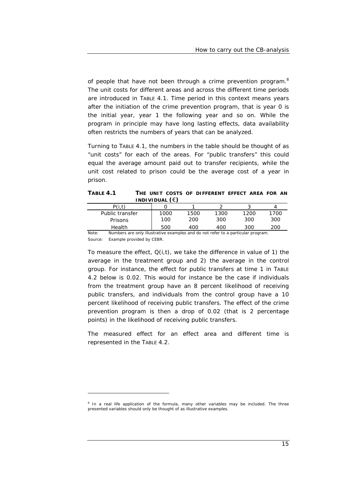of people that have not been through a crime prevention program.<sup>8</sup> The unit costs for different areas and across the different time periods are introduced in TABLE 4.1. Time period in this context means years after the initiation of the crime prevention program, that is year 0 is the initial year, year 1 the following year and so on. While the program in principle may have long lasting effects, data availability often restricts the numbers of years that can be analyzed.

Turning to TABLE 4.1, the numbers in the table should be thought of as "unit costs" for each of the areas. For "public transfers" this could equal the average amount paid out to transfer recipients, while the unit cost related to prison could be the average cost of a year in prison.

**TABLE 4.1 THE UNIT COSTS OF DIFFERENT EFFECT AREA FOR AN INDIVIDUAL (**€**)** 

|                 | INDIVIDUAL (E) |      |      |      |      |
|-----------------|----------------|------|------|------|------|
| P(i.t)          |                |      |      |      |      |
| Public transfer | 1000           | 1500 | 1300 | 1200 | 1700 |
| Prisons         | 100            | 200  | 300  | 300  | 300  |
| <b>Health</b>   | 500            | 400  | 400  | 300  | 200  |

Note: Numbers are only illustrative examples and do not refer to a particular program. Source: Example provided by CEBR.

To measure the effect, *Q(i,t),* we take the difference in value of 1) the average in the treatment group and 2) the average in the control group. For instance, the effect for public transfers at time 1 in TABLE 4.2 below is 0.02. This would for instance be the case if individuals from the treatment group have an 8 percent likelihood of receiving public transfers, and individuals from the control group have a 10 percent likelihood of receiving public transfers. The effect of the crime prevention program is then a drop of 0.02 (that is 2 percentage points) in the likelihood of receiving public transfers.

The measured effect for an effect area and different time is represented in the TABLE 4.2.

<sup>&</sup>lt;sup>8</sup> In a real life application of the formula, many other variables may be included. The three presented variables should only be thought of as illustrative examples.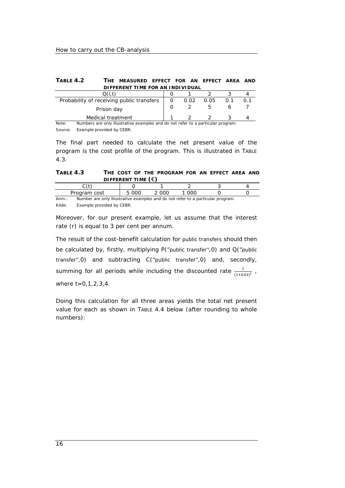| TABLE 4.2 | THE MEASURED EFFECT FOR AN EFFECT AREA AND |  |  |  |
|-----------|--------------------------------------------|--|--|--|
|           | DIFFERENT TIME FOR AN INDIVIDUAL           |  |  |  |

| Probability of receiving public transfers                                                                  | 0.02 | 0.05 |  |
|------------------------------------------------------------------------------------------------------------|------|------|--|
| Prison day                                                                                                 |      |      |  |
| Medical treatment                                                                                          |      |      |  |
| Numbers are only illustrative examples and do not refer to a particular program<br>$N \cap \{+ \cap \cdot$ |      |      |  |

Note: Numbers are only illustrative examples and do not refer to a particular program. Source: Example provided by CEBR.

The final part needed to calculate the net present value of the program is the cost profile of the program. This is illustrated in TABLE 4.3.

| TABLE 4.3 |                             |  | THE COST OF THE PROGRAM FOR AN EFFECT AREA AND |  |  |  |
|-----------|-----------------------------|--|------------------------------------------------|--|--|--|
|           | DIFFERENT TIME $(\epsilon)$ |  |                                                |  |  |  |
|           |                             |  |                                                |  |  |  |

*C(t)* 0 1 2 3 4 Program cost 5 000 2 000 1 000 0 0 Anm.: Number are only illustrative examples and do not refer to a particular program. Kilde: Example provided by CEBR.

Moreover, for our present example, let us assume that the interest rate (*r*) is equal to 3 per cent per annum.

The result of the cost-benefit calculation for *public transfers* should then be calculated by, firstly, multiplying *P("public transfer",0)* and *Q("public transfer",0)* and subtracting *C("public transfer",0)* and, secondly, summing for all periods while including the discounted rate  $\frac{1}{(1+0.03)^t}$  , where *t=0,1,2,3,4*.

Doing this calculation for all three areas yields the total net present value for each as shown in TABLE 4.4 below (after rounding to whole numbers):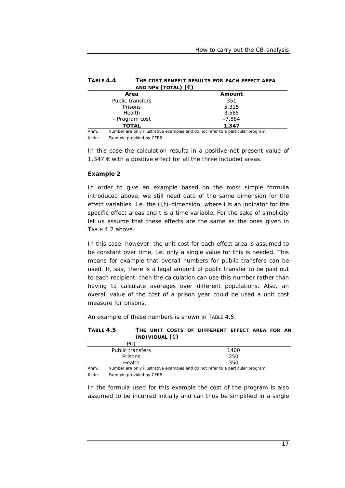| TABLE 4.4 | THE COST BENEFIT RESULTS FOR EACH EFFECT AREA |
|-----------|-----------------------------------------------|
|           | AND NPV (TOTAL) $(\epsilon)$                  |

|                  | .        |  |
|------------------|----------|--|
| Area             | Amount   |  |
| Public transfers | 351      |  |
| Prisons          | 5,315    |  |
| Health           | 3,565    |  |
| - Program cost   | $-7.884$ |  |
| TOTAL            | 1,347    |  |
|                  | .        |  |

Anm.: Number are only illustrative examples and do not refer to a particular program. Kilde: Example provided by CEBR.

In this case the calculation results in a positive net present value of 1,347 € with a positive effect for all the three included areas.

#### **Example 2**

In order to give an example based on the most simple formula introduced above, we still need data of the same dimension for the effect variables, i.e. the (*i,t*)-dimension, where *i* is an indicator for the specific effect areas and *t* is a time variable. For the sake of simplicity let us assume that these effects are the same as the ones given in TABLE 4.2 above.

In this case, however, the unit cost for each effect area is assumed to be constant over time, i.e. only a single value for this is needed. This means for example that overall numbers for public transfers can be used. If, say, there is a legal amount of public transfer to be paid out to each recipient, then the calculation can use this number rather than having to calculate averages over different populations. Also, an overall value of the cost of a prison year could be used a unit cost measure for prisons.

An example of these numbers is shown in TABLE 4.5.

#### **TABLE 4.5 THE UNIT COSTS OF DIFFERENT EFFECT AREA FOR AN INDIVIDUAL (**€**)**

|       | P(i)             |                                                                                 |
|-------|------------------|---------------------------------------------------------------------------------|
|       | Public transfers | 1400                                                                            |
|       | <b>Prisons</b>   | 250                                                                             |
|       | <b>Health</b>    | 350                                                                             |
| Ann.: |                  | Number are only illustrative examples and do not refer to a particular program. |

Kilde: Example provided by CEBR.

In the formula used for this example the cost of the program is also assumed to be incurred initially and can thus be simplified in a single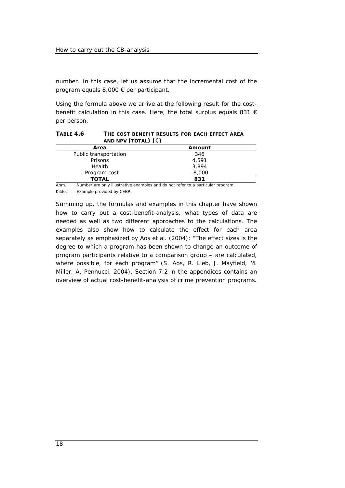number. In this case, let us assume that the incremental cost of the program equals 8,000 € per participant.

Using the formula above we arrive at the following result for the costbenefit calculation in this case. Here, the total surplus equals 831 € per person.

**TABLE 4.6 THE COST BENEFIT RESULTS FOR EACH EFFECT AREA** 

| AND NPV (TOTAL) $(\epsilon)$ |          |  |
|------------------------------|----------|--|
| Area                         | Amount   |  |
| Public transportation        | 346      |  |
| Prisons                      | 4,591    |  |
| Health                       | 3,894    |  |
| - Program cost               | $-8,000$ |  |
| TOTAL                        | 831      |  |

Anm.: Number are only illustrative examples and do not refer to a particular program. Kilde: Example provided by CEBR.

Summing up, the formulas and examples in this chapter have shown how to carry out a cost-benefit-analysis, what types of data are needed as well as two different approaches to the calculations. The examples also show how to calculate the effect for each area separately as emphasized by Aos et al. (2004): "The effect sizes is the degree to which a program has been shown to change an outcome of program participants relative to a comparison group – are calculated, where possible, for each program" (S. Aos, R. Lieb, J. Mayfield, M. Miller, A. Pennucci, 2004). Section 7.2 in the appendices contains an overview of actual cost-benefit-analysis of crime prevention programs.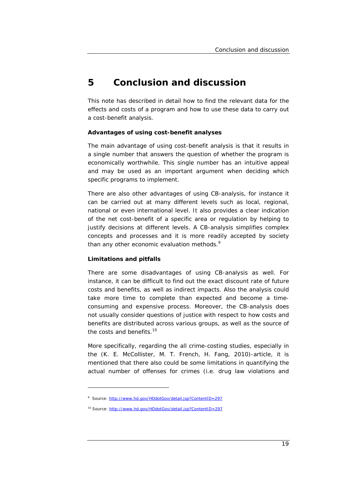# **5 Conclusion and discussion**

This note has described in detail how to find the relevant data for the effects and costs of a program and how to use these data to carry out a cost-benefit analysis.

## **Advantages of using cost-benefit analyses**

The main advantage of using cost-benefit analysis is that it results in a single number that answers the question of whether the program is economically worthwhile. This single number has an intuitive appeal and may be used as an important argument when deciding which specific programs to implement.

There are also other advantages of using CB-analysis, for instance it can be carried out at many different levels such as local, regional, national or even international level. It also provides a clear indication of the net cost-benefit of a specific area or regulation by helping to justify decisions at different levels. A CB-analysis simplifies complex concepts and processes and it is more readily accepted by society than any other economic evaluation methods.<sup>9</sup>

## **Limitations and pitfalls**

There are some disadvantages of using CB-analysis as well. For instance, it can be difficult to find out the exact discount rate of future costs and benefits, as well as indirect impacts. Also the analysis could take more time to complete than expected and become a timeconsuming and expensive process. Moreover, the CB-analysis does not usually consider questions of justice with respect to how costs and benefits are distributed across various groups, as well as the source of the costs and benefits.<sup>10</sup>

More specifically, regarding the all crime-costing studies, especially in the (K. E. McCollister, M. T. French, H. Fang, 2010)-article, it is mentioned that there also could be some limitations in quantifying the actual number of offenses for crimes (i.e. drug law violations and

<sup>&</sup>lt;sup>9</sup> Source: http://www.hd.gov/HDdotGov/detail.jsp?ContentID=297

<sup>10</sup> Source: http://www.hd.gov/HDdotGov/detail.jsp?ContentID=297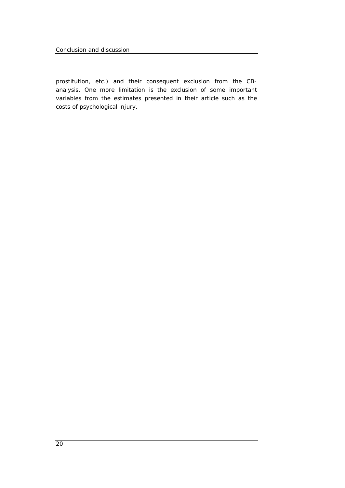Conclusion and discussion

prostitution, etc.) and their consequent exclusion from the CBanalysis. One more limitation is the exclusion of some important variables from the estimates presented in their article such as the costs of psychological injury.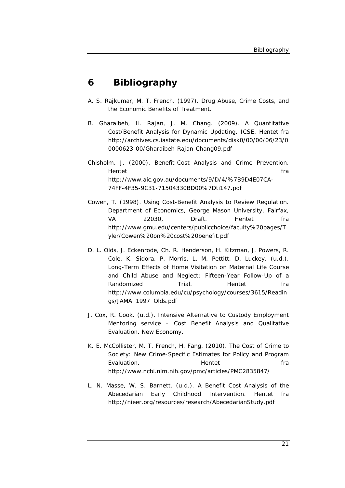# **6 Bibliography**

- A. S. Rajkumar, M. T. French. (1997). Drug Abuse, Crime Costs, and the Economic Benefits of Treatment.
- B. Gharaibeh, H. Rajan, J. M. Chang. (2009). A Quantitative Cost/Benefit Analysis for Dynamic Updating. *ICSE*. Hentet fra http://archives.cs.iastate.edu/documents/disk0/00/00/06/23/0 0000623-00/Gharaibeh-Rajan-Chang09.pdf
- Chisholm, J. (2000). Benefit-Cost Analysis and Crime Prevention. Hentet fra http://www.aic.gov.au/documents/9/D/4/%7B9D4E07CA-74FF-4F35-9C31-71504330BD00%7Dti147.pdf
- Cowen, T. (1998). Using Cost-Benefit Analysis to Review Regulation. *Department of Economics, George Mason University, Fairfax, VA 22030, Draft*. Hentet fra http://www.gmu.edu/centers/publicchoice/faculty%20pages/T yler/Cowen%20on%20cost%20benefit.pdf
- D. L. Olds, J. Eckenrode, Ch. R. Henderson, H. Kitzman, J. Powers, R. Cole, K. Sidora, P. Morris, L. M. Pettitt, D. Luckey. (u.d.). Long-Term Effects of Home Visitation on Maternal Life Course and Child Abuse and Neglect: Fifteen-Year Follow-Up of a Randomized Trial. Hentet fra http://www.columbia.edu/cu/psychology/courses/3615/Readin gs/JAMA\_1997\_Olds.pdf
- J. Cox, R. Cook. (u.d.). Intensive Alternative to Custody Employment Mentoring service – Cost Benefit Analysis and Qualitative Evaluation. *New Economy*.
- K. E. McCollister, M. T. French, H. Fang. (2010). The Cost of Crime to Society: New Crime-Specific Estimates for Policy and Program Evaluation. The Hentet France of the France of the Hentet of the Transfer of the Transfer of the Transfer of the Transfer of the Transfer of the Transfer of the Transfer of the Transfer of the Transfer of the Transfer of t http://www.ncbi.nlm.nih.gov/pmc/articles/PMC2835847/
- L. N. Masse, W. S. Barnett. (u.d.). A Benefit Cost Analysis of the Abecedarian Early Childhood Intervention. Hentet fra http://nieer.org/resources/research/AbecedarianStudy.pdf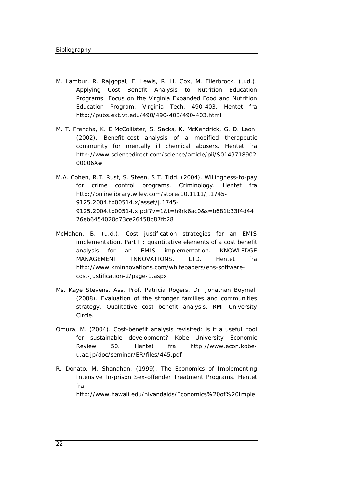- M. Lambur, R. Rajgopal, E. Lewis, R. H. Cox, M. Ellerbrock. (u.d.). Applying Cost Benefit Analysis to Nutrition Education Programs: Focus on the Virginia Expanded Food and Nutrition Education Program. *Virginia Tech*, 490-403. Hentet fra http://pubs.ext.vt.edu/490/490-403/490-403.html
- M. T. Frencha, K. E McCollister, S. Sacks, K. McKendrick, G. D. Leon. (2002). Benefit–cost analysis of a modified therapeutic community for mentally ill chemical abusers. Hentet fra http://www.sciencedirect.com/science/article/pii/S0149718902 00006X#
- M.A. Cohen, R.T. Rust, S. Steen, S.T. Tidd. (2004). Willingness-to-pay for crime control programs. Criminology. Hentet fra http://onlinelibrary.wiley.com/store/10.1111/j.1745- 9125.2004.tb00514.x/asset/j.1745- 9125.2004.tb00514.x.pdf?v=1&t=h9rk6ac0&s=b681b33f4d44 76eb6454028d73ce26458b87fb28
- McMahon, B. (u.d.). Cost justification strategies for an EMIS implementation. Part II: quantitative elements of a cost benefit analysis for an EMIS implementation. *KNOWLEDGE MANAGEMENT INNOVATIONS, LTD*. Hentet fra http://www.kminnovations.com/whitepapers/ehs-softwarecost-justification-2/page-1.aspx
- Ms. Kaye Stevens, Ass. Prof. Patricia Rogers, Dr. Jonathan Boymal. (2008). Evaluation of the stronger families and communities strategy. Qualitative cost benefit analysis. *RMI University Circle*.
- Omura, M. (2004). Cost-benefit analysis revisited: is it a usefull tool for sustainable development? *Kobe University Economic Review 50*. Hentet fra http://www.econ.kobeu.ac.jp/doc/seminar/ER/files/445.pdf
- R. Donato, M. Shanahan. (1999). The Economics of Implementing Intensive In-prison Sex-offender Treatment Programs. Hentet fra

http://www.hawaii.edu/hivandaids/Economics%20of%20Imple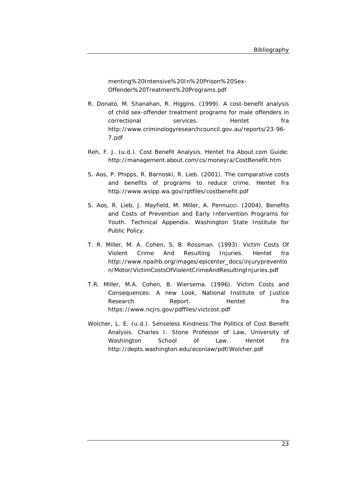menting%20Intensive%20In%20Prison%20Sex-Offender%20Treatment%20Programs.pdf

- R. Donato, M. Shanahan, R. Higgins. (1999). A cost-benefit analysis of child sex-offender treatment programs for male offenders in correctional services. Hentet fra http://www.criminologyresearchcouncil.gov.au/reports/23-96- 7.pdf
- Reh, F. J. (u.d.). *Cost Benefit Analysis*. Hentet fra About.com Guide: http://management.about.com/cs/money/a/CostBenefit.htm
- S. Aos, P. Phipps, R. Barnoski, R. Lieb. (2001). The comparative costs and benefits of programs to reduce crime. Hentet fra http://www.wsipp.wa.gov/rptfiles/costbenefit.pdf
- S. Aos, R. Lieb, J. Mayfield, M. Miller, A. Pennucci. (2004). Benefits and Costs of Prevention and Early Intervention Programs for Youth. Technical Appendix. *Washington State Institute for Public Policy*.
- T. R. Miller, M. A. Cohen, S. B. Rossman. (1993). Victim Costs Of Violent Crime And Resulting Injuries. Hentet fra http://www.npaihb.org/images/epicenter\_docs/injurypreventio n/Motor/VictimCostsOfViolentCrimeAndResultingInjuries.pdf
- T.R. Miller, M.A. Cohen, B. Wiersema. (1996). Victim Costs and Consequences: A new Look, National Institute of Justice Research **Report.** Hentet fra https://www.ncjrs.gov/pdffiles/victcost.pdf
- Wolcher, L. E. (u.d.). Senseless Kindness:The Politics of Cost Benefit Analysis. *Charles I. Stone Professor of Law, University of Washington School of Law*. Hentet fra http://depts.washington.edu/econlaw/pdf/Wolcher.pdf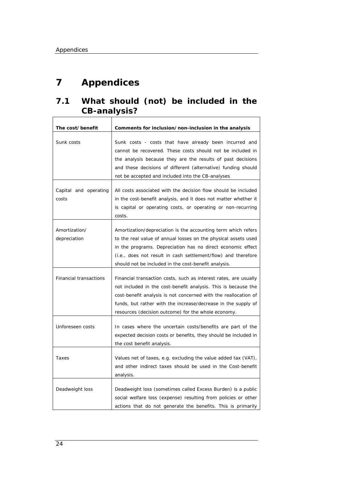$\Gamma$ 

# **7 Appendices**

# **7.1 What should (not) be included in the CB-analysis?**   $\overline{\phantom{a}}$

| The cost/benefit               | Comments for inclusion/non-inclusion in the analysis                                                                                                                                                                                                                                                                          |
|--------------------------------|-------------------------------------------------------------------------------------------------------------------------------------------------------------------------------------------------------------------------------------------------------------------------------------------------------------------------------|
| Sunk costs                     | Sunk costs - costs that have already been incurred and<br>cannot be recovered. These costs should not be included in<br>the analysis because they are the results of past decisions<br>and these decisions of different (alternative) funding should<br>not be accepted and included into the CB-analyses                     |
| Capital and operating<br>costs | All costs associated with the decision flow should be included<br>in the cost-benefit analysis, and it does not matter whether it<br>is capital or operating costs, or operating or non-recurring<br>costs.                                                                                                                   |
| Amortization/<br>depreciation  | Amortization/depreciation is the accounting term which refers<br>to the real value of annual losses on the physical assets used<br>in the programs. Depreciation has no direct economic effect<br>(i.e., does not result in cash settlement/flow) and therefore<br>should not be included in the cost-benefit analysis.       |
| <b>Financial transactions</b>  | Financial transaction costs, such as interest rates, are usually<br>not included in the cost-benefit analysis. This is because the<br>cost-benefit analysis is not concerned with the reallocation of<br>funds, but rather with the increase/decrease in the supply of<br>resources (decision outcome) for the whole economy. |
| Unforeseen costs               | In cases where the uncertain costs/benefits are part of the<br>expected decision costs or benefits, they should be included in<br>the cost benefit analysis.                                                                                                                                                                  |
| Taxes                          | Values net of taxes, e.g. excluding the value added tax (VAT),<br>and other indirect taxes should be used in the Cost-benefit<br>analysis.                                                                                                                                                                                    |
| Deadweight loss                | Deadweight loss (sometimes called Excess Burden) is a public<br>social welfare loss (expense) resulting from policies or other<br>actions that do not generate the benefits. This is primarily                                                                                                                                |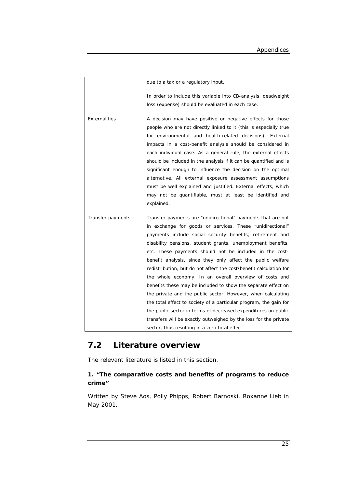|                   | due to a tax or a regulatory input.                                |  |  |  |  |  |
|-------------------|--------------------------------------------------------------------|--|--|--|--|--|
|                   | In order to include this variable into CB-analysis, deadweight     |  |  |  |  |  |
|                   | loss (expense) should be evaluated in each case.                   |  |  |  |  |  |
|                   |                                                                    |  |  |  |  |  |
| Externalities     | A decision may have positive or negative effects for those         |  |  |  |  |  |
|                   | people who are not directly linked to it (this is especially true  |  |  |  |  |  |
|                   | for environmental and health-related decisions). External          |  |  |  |  |  |
|                   | impacts in a cost-benefit analysis should be considered in         |  |  |  |  |  |
|                   | each individual case. As a general rule, the external effects      |  |  |  |  |  |
|                   | should be included in the analysis if it can be quantified and is  |  |  |  |  |  |
|                   | significant enough to influence the decision on the optimal        |  |  |  |  |  |
|                   | alternative. All external exposure assessment assumptions          |  |  |  |  |  |
|                   | must be well explained and justified. External effects, which      |  |  |  |  |  |
|                   | may not be quantifiable, must at least be identified and           |  |  |  |  |  |
|                   | explained.                                                         |  |  |  |  |  |
|                   |                                                                    |  |  |  |  |  |
| Transfer payments | Transfer payments are "unidirectional" payments that are not       |  |  |  |  |  |
|                   | in exchange for goods or services. These "unidirectional"          |  |  |  |  |  |
|                   | payments include social security benefits, retirement and          |  |  |  |  |  |
|                   | disability pensions, student grants, unemployment benefits,        |  |  |  |  |  |
|                   | etc. These payments should not be included in the cost-            |  |  |  |  |  |
|                   | benefit analysis, since they only affect the public welfare        |  |  |  |  |  |
|                   | redistribution, but do not affect the cost/benefit calculation for |  |  |  |  |  |
|                   | the whole economy. In an overall overview of costs and             |  |  |  |  |  |
|                   | benefits these may be included to show the separate effect on      |  |  |  |  |  |
|                   | the private and the public sector. However, when calculating       |  |  |  |  |  |
|                   | the total effect to society of a particular program, the gain for  |  |  |  |  |  |
|                   | the public sector in terms of decreased expenditures on public     |  |  |  |  |  |
|                   | transfers will be exactly outweighed by the loss for the private   |  |  |  |  |  |
|                   | sector, thus resulting in a zero total effect.                     |  |  |  |  |  |

# **7.2 Literature overview**

The relevant literature is listed in this section.

## **1. "The comparative costs and benefits of programs to reduce crime"**

Written by Steve Aos, Polly Phipps, Robert Barnoski, Roxanne Lieb in May 2001.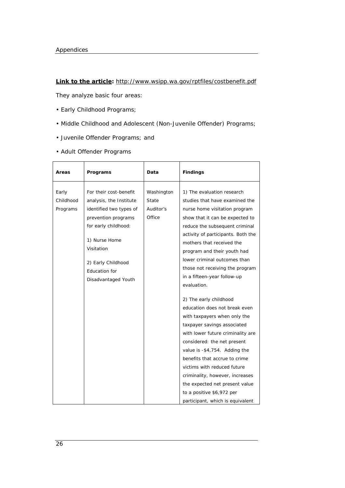#### **Link to the article:** http://www.wsipp.wa.gov/rptfiles/costbenefit.pdf

They analyze basic four areas:

- Early Childhood Programs;
- Middle Childhood and Adolescent (Non-Juvenile Offender) Programs;
- Juvenile Offender Programs; and
- Adult Offender Programs

| Areas                          | Programs                                                                                                                                                                                                                 | Data                                       | <b>Findings</b>                                                                                                                                                                                                                                                                                                                                                                                                                                                                                                                                                                                                                                                                                                                                                                                                            |
|--------------------------------|--------------------------------------------------------------------------------------------------------------------------------------------------------------------------------------------------------------------------|--------------------------------------------|----------------------------------------------------------------------------------------------------------------------------------------------------------------------------------------------------------------------------------------------------------------------------------------------------------------------------------------------------------------------------------------------------------------------------------------------------------------------------------------------------------------------------------------------------------------------------------------------------------------------------------------------------------------------------------------------------------------------------------------------------------------------------------------------------------------------------|
| Early<br>Childhood<br>Programs | For their cost-benefit<br>analysis, the Institute<br>identified two types of<br>prevention programs<br>for early childhood:<br>1) Nurse Home<br>Visitation<br>2) Early Childhood<br>Education for<br>Disadvantaged Youth | Washington<br>State<br>Auditor's<br>Office | 1) The evaluation research<br>studies that have examined the<br>nurse home visitation program<br>show that it can be expected to<br>reduce the subsequent criminal<br>activity of participants. Both the<br>mothers that received the<br>program and their youth had<br>lower criminal outcomes than<br>those not receiving the program<br>in a fifteen-year follow-up<br>evaluation.<br>2) The early childhood<br>education does not break even<br>with taxpayers when only the<br>taxpayer savings associated<br>with lower future criminality are<br>considered: the net present<br>value is -\$4,754. Adding the<br>benefits that accrue to crime<br>victims with reduced future<br>criminality, however, increases<br>the expected net present value<br>to a positive \$6,972 per<br>participant, which is equivalent |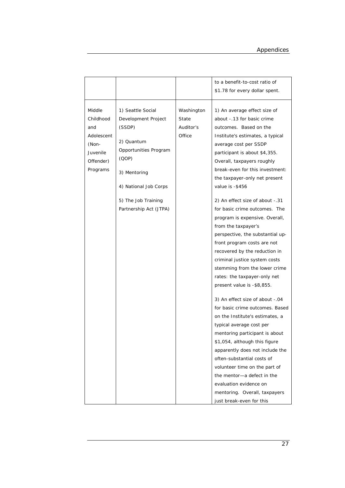|                                                                                        |                                                                                                                                                                                              |                                            | to a benefit-to-cost ratio of<br>\$1.78 for every dollar spent.                                                                                                                                                                                                                                                                                                                                                                                                                                                                                                                                                                                                                                                                                                                                                                                                                                                                                                                                                                                                                                          |
|----------------------------------------------------------------------------------------|----------------------------------------------------------------------------------------------------------------------------------------------------------------------------------------------|--------------------------------------------|----------------------------------------------------------------------------------------------------------------------------------------------------------------------------------------------------------------------------------------------------------------------------------------------------------------------------------------------------------------------------------------------------------------------------------------------------------------------------------------------------------------------------------------------------------------------------------------------------------------------------------------------------------------------------------------------------------------------------------------------------------------------------------------------------------------------------------------------------------------------------------------------------------------------------------------------------------------------------------------------------------------------------------------------------------------------------------------------------------|
| Middle<br>Childhood<br>and<br>Adolescent<br>(Non-<br>Juvenile<br>Offender)<br>Programs | 1) Seattle Social<br>Development Project<br>(SSDP)<br>2) Quantum<br>Opportunities Program<br>(QOP)<br>3) Mentoring<br>4) National Job Corps<br>5) The Job Training<br>Partnership Act (JTPA) | Washington<br>State<br>Auditor's<br>Office | 1) An average effect size of<br>about -. 13 for basic crime<br>outcomes. Based on the<br>Institute's estimates, a typical<br>average cost per SSDP<br>participant is about \$4,355.<br>Overall, taxpayers roughly<br>break-even for this investment:<br>the taxpayer-only net present<br>value is -\$456<br>2) An effect size of about -.31<br>for basic crime outcomes. The<br>program is expensive. Overall,<br>from the taxpayer's<br>perspective, the substantial up-<br>front program costs are not<br>recovered by the reduction in<br>criminal justice system costs<br>stemming from the lower crime<br>rates: the taxpayer-only net<br>present value is -\$8,855.<br>3) An effect size of about -.04<br>for basic crime outcomes. Based<br>on the Institute's estimates, a<br>typical average cost per<br>mentoring participant is about<br>\$1,054, although this figure<br>apparently does not include the<br>often-substantial costs of<br>volunteer time on the part of<br>the mentor-a defect in the<br>evaluation evidence on<br>mentoring. Overall, taxpayers<br>just break-even for this |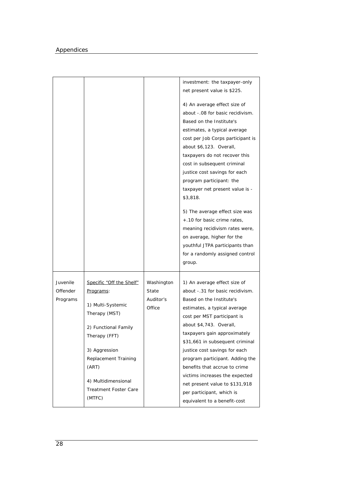|                                  |                                                                                                                                                                                                                                                |                                            | investment: the taxpayer-only<br>net present value is \$225.<br>4) An average effect size of<br>about -.08 for basic recidivism.<br>Based on the Institute's<br>estimates, a typical average<br>cost per Job Corps participant is<br>about \$6,123. Overall,<br>taxpayers do not recover this<br>cost in subsequent criminal<br>justice cost savings for each<br>program participant: the<br>taxpayer net present value is -<br>\$3,818.<br>5) The average effect size was<br>+.10 for basic crime rates,<br>meaning recidivism rates were, |
|----------------------------------|------------------------------------------------------------------------------------------------------------------------------------------------------------------------------------------------------------------------------------------------|--------------------------------------------|---------------------------------------------------------------------------------------------------------------------------------------------------------------------------------------------------------------------------------------------------------------------------------------------------------------------------------------------------------------------------------------------------------------------------------------------------------------------------------------------------------------------------------------------|
|                                  |                                                                                                                                                                                                                                                |                                            | on average, higher for the<br>youthful JTPA participants than<br>for a randomly assigned control<br>group.                                                                                                                                                                                                                                                                                                                                                                                                                                  |
| Juvenile<br>Offender<br>Programs | Specific "Off the Shelf"<br><u>Programs:</u><br>1) Multi-Systemic<br>Therapy (MST)<br>2) Functional Family<br>Therapy (FFT)<br>3) Aggression<br>Replacement Training<br>(ART)<br>4) Multidimensional<br><b>Treatment Foster Care</b><br>(MTFC) | Washington<br>State<br>Auditor's<br>Office | 1) An average effect size of<br>about -.31 for basic recidivism.<br>Based on the Institute's<br>estimates, a typical average<br>cost per MST participant is<br>about \$4,743. Overall,<br>taxpayers gain approximately<br>\$31,661 in subsequent criminal<br>justice cost savings for each<br>program participant. Adding the<br>benefits that accrue to crime<br>victims increases the expected<br>net present value to \$131,918<br>per participant, which is<br>equivalent to a benefit-cost                                             |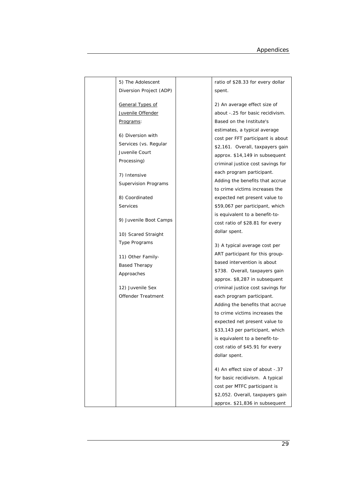| 5) The Adolescent           | ratio of \$28.33 for every dollar |
|-----------------------------|-----------------------------------|
| Diversion Project (ADP)     | spent.                            |
|                             |                                   |
| <b>General Types of</b>     | 2) An average effect size of      |
| Juvenile Offender           | about -.25 for basic recidivism.  |
| <u>Programs:</u>            | Based on the Institute's          |
|                             | estimates, a typical average      |
| 6) Diversion with           | cost per FFT participant is about |
| Services (vs. Regular       | \$2,161. Overall, taxpayers gain  |
| Juvenile Court              | approx. \$14,149 in subsequent    |
| Processing)                 | criminal justice cost savings for |
| 7) Intensive                | each program participant.         |
| <b>Supervision Programs</b> | Adding the benefits that accrue   |
|                             | to crime victims increases the    |
| 8) Coordinated              | expected net present value to     |
| <b>Services</b>             | \$59,067 per participant, which   |
|                             | is equivalent to a benefit-to-    |
| 9) Juvenile Boot Camps      | cost ratio of \$28.81 for every   |
| 10) Scared Straight         | dollar spent.                     |
|                             |                                   |
| Type Programs               | 3) A typical average cost per     |
| 11) Other Family-           | ART participant for this group-   |
| <b>Based Therapy</b>        | based intervention is about       |
| Approaches                  | \$738. Overall, taxpayers gain    |
|                             | approx. \$8,287 in subsequent     |
| 12) Juvenile Sex            | criminal justice cost savings for |
| Offender Treatment          | each program participant.         |
|                             | Adding the benefits that accrue   |
|                             | to crime victims increases the    |
|                             | expected net present value to     |
|                             | \$33,143 per participant, which   |
|                             | is equivalent to a benefit-to-    |
|                             | cost ratio of \$45.91 for every   |
|                             | dollar spent.                     |
|                             |                                   |
|                             | 4) An effect size of about -.37   |
|                             | for basic recidivism. A typical   |
|                             | cost per MTFC participant is      |
|                             | \$2,052. Overall, taxpayers gain  |
|                             | approx. \$21,836 in subsequent    |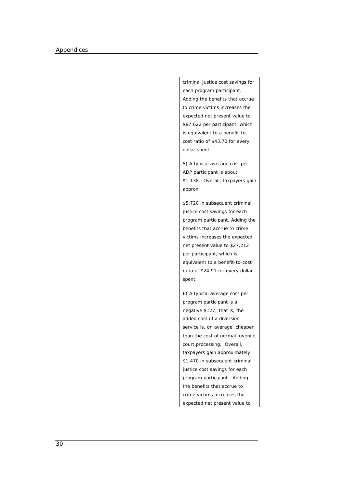| criminal justice cost savings for |
|-----------------------------------|
| each program participant.         |
| Adding the benefits that accrue   |
| to crime victims increases the    |
| expected net present value to     |
| \$87,622 per participant, which   |
| is equivalent to a benefit-to-    |
| cost ratio of \$43.70 for every   |
| dollar spent.                     |
|                                   |
| 5) A typical average cost per     |
| ADP participant is about          |
| \$1,138. Overall, taxpayers gain  |
| approx.                           |
|                                   |
| \$5,720 in subsequent criminal    |
| justice cost savings for each     |
| program participant. Adding the   |
| benefits that accrue to crime     |
| victims increases the expected    |
| net present value to \$27,212     |
| per participant, which is         |
| equivalent to a benefit-to-cost   |
| ratio of \$24.91 for every dollar |
| spent.                            |
|                                   |
| 6) A typical average cost per     |
| program participant is a          |
| negative \$127; that is, the      |
| added cost of a diversion         |
| service is, on average, cheaper   |
| than the cost of normal juvenile  |
| court processing. Overall,        |
| taxpayers gain approximately      |
| \$1,470 in subsequent criminal    |
| justice cost savings for each     |
| program participant. Adding       |
| the benefits that accrue to       |
| crime victims increases the       |
| expected net present value to     |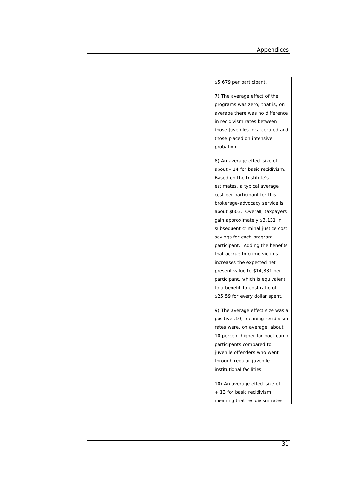|  | \$5,679 per participant.          |
|--|-----------------------------------|
|  | 7) The average effect of the      |
|  | programs was zero; that is, on    |
|  |                                   |
|  | average there was no difference   |
|  | in recidivism rates between       |
|  | those juveniles incarcerated and  |
|  | those placed on intensive         |
|  | probation.                        |
|  | 8) An average effect size of      |
|  | about -. 14 for basic recidivism. |
|  | Based on the Institute's          |
|  | estimates, a typical average      |
|  | cost per participant for this     |
|  | brokerage-advocacy service is     |
|  | about \$603. Overall, taxpayers   |
|  | gain approximately \$3,131 in     |
|  | subsequent criminal justice cost  |
|  | savings for each program          |
|  | participant. Adding the benefits  |
|  | that accrue to crime victims      |
|  | increases the expected net        |
|  | present value to \$14,831 per     |
|  | participant, which is equivalent  |
|  | to a benefit-to-cost ratio of     |
|  | \$25.59 for every dollar spent.   |
|  | 9) The average effect size was a  |
|  | positive .10, meaning recidivism  |
|  | rates were, on average, about     |
|  | 10 percent higher for boot camp   |
|  | participants compared to          |
|  | juvenile offenders who went       |
|  | through regular juvenile          |
|  | institutional facilities.         |
|  |                                   |
|  | 10) An average effect size of     |
|  | +.13 for basic recidivism,        |
|  | meaning that recidivism rates     |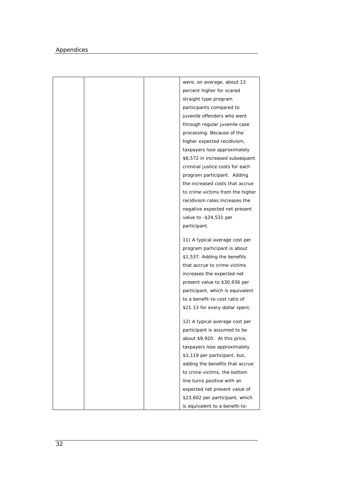|  | were, on average, about 13       |
|--|----------------------------------|
|  | percent higher for scared        |
|  | straight type program            |
|  | participants compared to         |
|  | juvenile offenders who went      |
|  | through regular juvenile case    |
|  | processing. Because of the       |
|  | higher expected recidivism,      |
|  | taxpayers lose approximately     |
|  | \$6,572 in increased subsequent  |
|  | criminal justice costs for each  |
|  | program participant. Adding      |
|  | the increased costs that accrue  |
|  | to crime victims from the higher |
|  | recidivism rates increases the   |
|  | negative expected net present    |
|  | value to -\$24,531 per           |
|  | participant.                     |
|  | 11) A typical average cost per   |
|  | program participant is about     |
|  | \$1,537. Adding the benefits     |
|  | that accrue to crime victims     |
|  | increases the expected net       |
|  | present value to \$30,936 per    |
|  | participant, which is equivalent |
|  | to a benefit-to-cost ratio of    |
|  | \$21.13 for every dollar spent.  |
|  | 12) A typical average cost per   |
|  | participant is assumed to be     |
|  | about \$9,920. At this price,    |
|  | taxpayers lose approximately     |
|  | \$3,119 per participant, but,    |
|  | adding the benefits that accrue  |
|  | to crime victims, the bottom     |
|  | line turns positive with an      |
|  | expected net present value of    |
|  | \$23,602 per participant, which  |
|  | is equivalent to a benefit-to-   |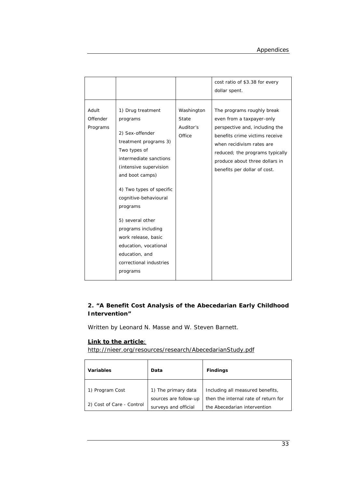|                               |                                                                                                                                                                                                                                                                                                                                                                                      |                                            | cost ratio of \$3.38 for every<br>dollar spent.                                                                                                                                                                                                               |
|-------------------------------|--------------------------------------------------------------------------------------------------------------------------------------------------------------------------------------------------------------------------------------------------------------------------------------------------------------------------------------------------------------------------------------|--------------------------------------------|---------------------------------------------------------------------------------------------------------------------------------------------------------------------------------------------------------------------------------------------------------------|
| Adult<br>Offender<br>Programs | 1) Drug treatment<br>programs<br>2) Sex-offender<br>treatment programs 3)<br>Two types of<br>intermediate sanctions<br>(intensive supervision<br>and boot camps)<br>4) Two types of specific<br>cognitive-behavioural<br>programs<br>5) several other<br>programs including<br>work release, basic<br>education, vocational<br>education, and<br>correctional industries<br>programs | Washington<br>State<br>Auditor's<br>Office | The programs roughly break<br>even from a taxpayer-only<br>perspective and, including the<br>benefits crime victims receive<br>when recidivism rates are<br>reduced; the programs typically<br>produce about three dollars in<br>benefits per dollar of cost. |

# **2. "A Benefit Cost Analysis of the Abecedarian Early Childhood Intervention"**

Written by Leonard N. Masse and W. Steven Barnett.

## **Link to the article**:

http://nieer.org/resources/research/AbecedarianStudy.pdf

| <b>Variables</b>          | Data                                          | <b>Findings</b>                                                      |
|---------------------------|-----------------------------------------------|----------------------------------------------------------------------|
| 1) Program Cost           | 1) The primary data                           | Including all measured benefits,                                     |
| 2) Cost of Care - Control | sources are follow-up<br>surveys and official | then the internal rate of return for<br>the Abecedarian intervention |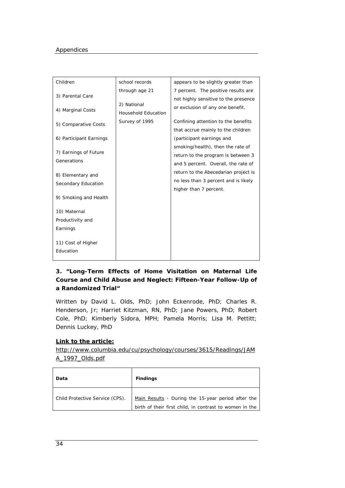| Children                                     | school records                     | appears to be slightly greater than                                                                                 |
|----------------------------------------------|------------------------------------|---------------------------------------------------------------------------------------------------------------------|
| 3) Parental Care                             | through age 21                     | 7 percent. The positive results are                                                                                 |
| 4) Marginal Costs                            | 2) National<br>Household Education | not highly sensitive to the presence<br>or exclusion of any one benefit.                                            |
| 5) Comparative Costs                         | Survey of 1995                     | Confining attention to the benefits<br>that accrue mainly to the children                                           |
| 6) Participant Earnings                      |                                    | (participant earnings and                                                                                           |
| 7) Earnings of Future<br>Generations         |                                    | smoking/health), then the rate of<br>return to the program is between 3                                             |
| 8) Elementary and                            |                                    | and 5 percent. Overall, the rate of<br>return to the Abecedarian project is<br>no less than 3 percent and is likely |
| Secondary Education<br>9) Smoking and Health |                                    | higher than 7 percent.                                                                                              |
| 10) Maternal                                 |                                    |                                                                                                                     |
| Productivity and                             |                                    |                                                                                                                     |
| Earnings                                     |                                    |                                                                                                                     |
| 11) Cost of Higher<br>Education              |                                    |                                                                                                                     |

# **3. "Long-Term Effects of Home Visitation on Maternal Life Course and Child Abuse and Neglect: Fifteen-Year Follow-Up of a Randomized Trial"**

Written by David L. Olds, PhD; John Eckenrode, PhD; Charles R. Henderson, Jr; Harriet Kitzman, RN, PhD; Jane Powers, PhD; Robert Cole, PhD; Kimberly Sidora, MPH; Pamela Morris; Lisa M. Pettitt; Dennis Luckey, PhD

## **Link to the article:**

http://www.columbia.edu/cu/psychology/courses/3615/Readings/JAM A\_1997\_Olds.pdf

| Data                            | <b>Findings</b>                                                                                               |
|---------------------------------|---------------------------------------------------------------------------------------------------------------|
| Child Protective Service (CPS). | Main Results - During the 15-year period after the<br>birth of their first child, in contrast to women in the |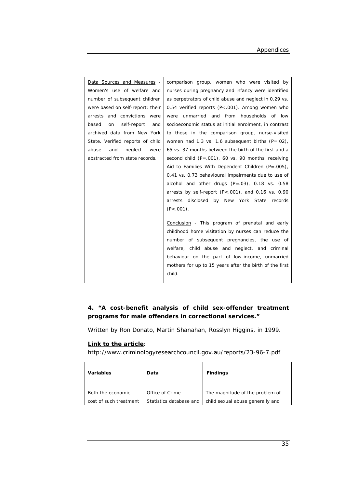| <u>Data Sources and Measures</u> - | comparison group, women who were visited by             |
|------------------------------------|---------------------------------------------------------|
| Women's use of welfare and         | nurses during pregnancy and infancy were identified     |
| number of subsequent children      | as perpetrators of child abuse and neglect in 0.29 vs.  |
| were based on self-report; their   | 0.54 verified reports ( $P < .001$ ). Among women who   |
| arrests and convictions were       | were unmarried and from households of low               |
| self-report<br>based<br>on<br>and  | socioeconomic status at initial enrolment, in contrast  |
| archived data from New York        | to those in the comparison group, nurse-visited         |
| State. Verified reports of child   | women had 1.3 vs. 1.6 subsequent births $(P=.02)$ ,     |
| and<br>abuse<br>neglect<br>were    | 65 vs. 37 months between the birth of the first and a   |
| abstracted from state records.     | second child $(P=.001)$ , 60 vs. 90 months' receiving   |
|                                    | Aid to Families With Dependent Children $(P=.005)$ ,    |
|                                    | 0.41 vs. 0.73 behavioural impairments due to use of     |
|                                    | alcohol and other drugs $(P=.03)$ , 0.18 vs. 0.58       |
|                                    | arrests by self-report $(P < .001)$ , and 0.16 vs. 0.90 |
|                                    | arrests disclosed by New York State records             |
|                                    | $(P<.001)$ .                                            |
|                                    |                                                         |
|                                    | Conclusion - This program of prenatal and early         |
|                                    | childhood home visitation by nurses can reduce the      |
|                                    | number of subsequent pregnancies, the use of            |
|                                    | welfare, child abuse and neglect, and criminal          |
|                                    | behaviour on the part of low-income, unmarried          |
|                                    | mothers for up to 15 years after the birth of the first |
|                                    | child.                                                  |

# **4. "A cost-benefit analysis of child sex-offender treatment programs for male offenders in correctional services."**

Written by Ron Donato, Martin Shanahan, Rosslyn Higgins, in 1999.

## **Link to the article**:

http://www.criminologyresearchcouncil.gov.au/reports/23-96-7.pdf

| <b>Variables</b>       | Data                    | <b>Findings</b>                  |
|------------------------|-------------------------|----------------------------------|
| Both the economic      | Office of Crime         | The magnitude of the problem of  |
| cost of such treatment | Statistics database and | child sexual abuse generally and |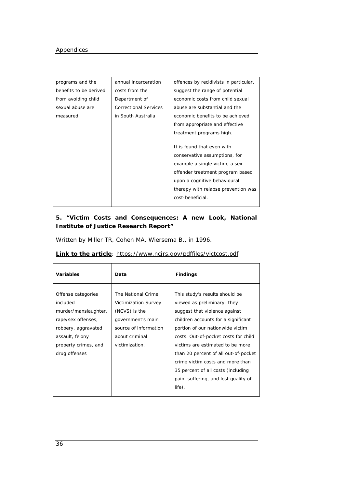| programs and the       | annual incarceration         | offences by recidivists in particular, |
|------------------------|------------------------------|----------------------------------------|
| benefits to be derived | costs from the               | suggest the range of potential         |
| from avoiding child    | Department of                | economic costs from child sexual       |
| sexual abuse are       | <b>Correctional Services</b> | abuse are substantial and the          |
| measured.              | in South Australia           | economic benefits to be achieved       |
|                        |                              | from appropriate and effective         |
|                        |                              | treatment programs high.               |
|                        |                              |                                        |
|                        |                              | It is found that even with             |
|                        |                              | conservative assumptions, for          |
|                        |                              | example a single victim, a sex         |
|                        |                              | offender treatment program based       |
|                        |                              | upon a cognitive behavioural           |
|                        |                              | therapy with relapse prevention was    |
|                        |                              | cost-beneficial.                       |
|                        |                              |                                        |

# **5. "Victim Costs and Consequences: A new Look, National Institute of Justice Research Report"**

Written by Miller TR, Cohen MA, Wiersema B., in 1996.

| <b>Link to the article:</b> https://www.ncjrs.gov/pdffiles/victcost.pdf |  |  |  |
|-------------------------------------------------------------------------|--|--|--|
|                                                                         |  |  |  |

| <b>Variables</b>                                                                                                                                                | Data                                                                                                                                                 | <b>Findings</b>                                                                                                                                                                                                                                                                                                                                                                                                              |
|-----------------------------------------------------------------------------------------------------------------------------------------------------------------|------------------------------------------------------------------------------------------------------------------------------------------------------|------------------------------------------------------------------------------------------------------------------------------------------------------------------------------------------------------------------------------------------------------------------------------------------------------------------------------------------------------------------------------------------------------------------------------|
| Offense categories<br>included<br>murder/manslaughter,<br>rape/sex offenses,<br>robbery, aggravated<br>assault, felony<br>property crimes, and<br>drug offenses | The National Crime<br><b>Victimization Survey</b><br>(NCVS) is the<br>government's main<br>source of information<br>about criminal<br>victimization. | This study's results should be<br>viewed as preliminary; they<br>suggest that violence against<br>children accounts for a significant<br>portion of our nationwide victim<br>costs. Out-of-pocket costs for child<br>victims are estimated to be more<br>than 20 percent of all out-of-pocket<br>crime victim costs and more than<br>35 percent of all costs (including<br>pain, suffering, and lost quality of<br>$life)$ . |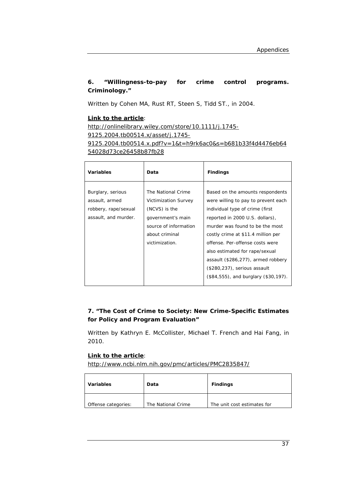# **6. "Willingness-to-pay for crime control programs. Criminology."**

Written by Cohen MA, Rust RT, Steen S, Tidd ST., in 2004.

## **Link to the article**:

http://onlinelibrary.wiley.com/store/10.1111/j.1745- 9125.2004.tb00514.x/asset/j.1745-

9125.2004.tb00514.x.pdf?v=1&t=h9rk6ac0&s=b681b33f4d4476eb64 54028d73ce26458b87fb28

| <b>Variables</b>                                                                    | Data                                                                                                                                          | <b>Findings</b>                                                                                                                                                                                                                                                                                                                                                                                           |
|-------------------------------------------------------------------------------------|-----------------------------------------------------------------------------------------------------------------------------------------------|-----------------------------------------------------------------------------------------------------------------------------------------------------------------------------------------------------------------------------------------------------------------------------------------------------------------------------------------------------------------------------------------------------------|
| Burglary, serious<br>assault, armed<br>robbery, rape/sexual<br>assault, and murder. | The National Crime<br>Victimization Survey<br>(NCVS) is the<br>government's main<br>source of information<br>about criminal<br>victimization. | Based on the amounts respondents<br>were willing to pay to prevent each<br>individual type of crime (first<br>reported in 2000 U.S. dollars),<br>murder was found to be the most<br>costly crime at \$11.4 million per<br>offense. Per-offense costs were<br>also estimated for rape/sexual<br>assault (\$286,277), armed robbery<br>(\$280,237), serious assault<br>(\$84,555), and burglary (\$30,197). |

# **7. "The Cost of Crime to Society: New Crime-Specific Estimates for Policy and Program Evaluation"**

Written by Kathryn E. McCollister, Michael T. French and Hai Fang, in 2010.

## **Link to the article**:

http://www.ncbi.nlm.nih.gov/pmc/articles/PMC2835847/

| <b>Variables</b>    | Data               | <b>Findings</b>             |
|---------------------|--------------------|-----------------------------|
| Offense categories: | The National Crime | The unit cost estimates for |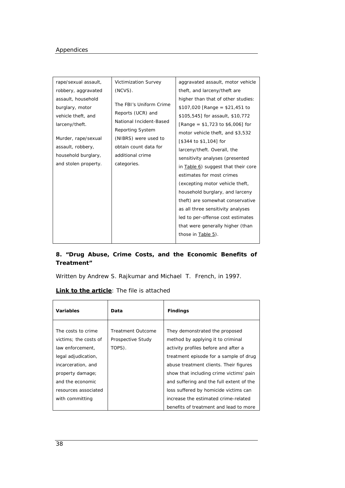| rape/sexual assault, | Victimization Survey    | aggravated assault, motor vehicle   |
|----------------------|-------------------------|-------------------------------------|
| robbery, aggravated  | (NCVS).                 | theft, and larceny/theft are        |
| assault, household   |                         | higher than that of other studies:  |
| burglary, motor      | The FBI's Uniform Crime | $$107,020$ [Range = \$21,451 to     |
| vehicle theft, and   | Reports (UCR) and       | \$105,545] for assault, \$10,772    |
| larceny/theft.       | National Incident-Based | [Range = $$1,723$ to $$6,006$ ] for |
|                      | Reporting System        | motor vehicle theft, and \$3,532    |
| Murder, rape/sexual  | (NIBRS) were used to    | [\$344 to \$1,104] for              |
| assault, robbery,    | obtain count data for   | larceny/theft. Overall, the         |
| household burglary,  | additional crime        | sensitivity analyses (presented     |
| and stolen property. | categories.             | in Table 6) suggest that their core |
|                      |                         | estimates for most crimes           |
|                      |                         | (excepting motor vehicle theft,     |
|                      |                         | household burglary, and larceny     |
|                      |                         | theft) are somewhat conservative    |
|                      |                         | as all three sensitivity analyses   |
|                      |                         |                                     |
|                      |                         | led to per-offense cost estimates   |
|                      |                         | that were generally higher (than    |
|                      |                         | those in Table 5).                  |
|                      |                         |                                     |

# **8. "Drug Abuse, Crime Costs, and the Economic Benefits of Treatment"**

Written by Andrew S. Rajkumar and Michael T. French, in 1997.

## **Link to the article:** The file is attached

| Variables             | Data                     | <b>Findings</b>                          |
|-----------------------|--------------------------|------------------------------------------|
|                       |                          |                                          |
| The costs to crime    | <b>Treatment Outcome</b> | They demonstrated the proposed           |
| victims: the costs of | Prospective Study        | method by applying it to criminal        |
| law enforcement,      | TOPS).                   | activity profiles before and after a     |
| legal adjudication,   |                          | treatment episode for a sample of drug   |
| incarceration, and    |                          | abuse treatment clients. Their figures   |
| property damage;      |                          | show that including crime victims' pain  |
| and the economic      |                          | and suffering and the full extent of the |
| resources associated  |                          | loss suffered by homicide victims can    |
| with committing       |                          | increase the estimated crime-related     |
|                       |                          | benefits of treatment and lead to more   |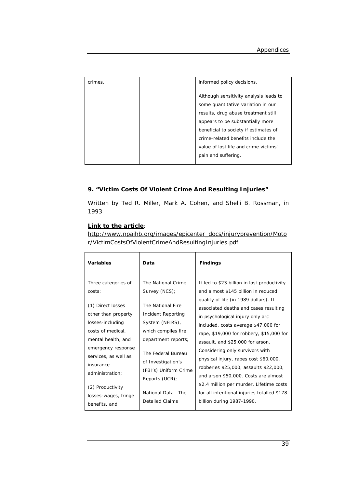| crimes. | informed policy decisions.                                                   |
|---------|------------------------------------------------------------------------------|
|         | Although sensitivity analysis leads to<br>some quantitative variation in our |
|         | results, drug abuse treatment still<br>appears to be substantially more      |
|         | beneficial to society if estimates of<br>crime-related benefits include the  |
|         | value of lost life and crime victims'                                        |
|         | pain and suffering.                                                          |

## **9. "Victim Costs Of Violent Crime And Resulting Injuries"**

Written by Ted R. Miller, Mark A. Cohen, and Shelli B. Rossman, in 1993

## **Link to the article**:

http://www.npaihb.org/images/epicenter\_docs/injuryprevention/Moto r/VictimCostsOfViolentCrimeAndResultingInjuries.pdf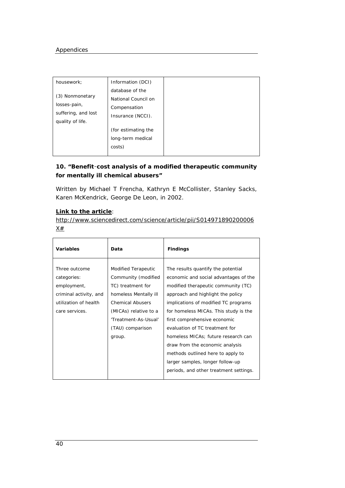| housework;          | Information (DCI)   |  |
|---------------------|---------------------|--|
|                     | database of the     |  |
| (3) Nonmonetary     | National Council on |  |
| losses-pain,        | Compensation        |  |
| suffering, and lost | Insurance (NCCI).   |  |
| quality of life.    |                     |  |
|                     | (for estimating the |  |
|                     | long-term medical   |  |
|                     | costs)              |  |
|                     |                     |  |

# **10. "Benefit**–**cost analysis of a modified therapeutic community for mentally ill chemical abusers"**

Written by Michael T Frencha, Kathryn E McCollister, Stanley Sacks, Karen McKendrick, George De Leon, in 2002.

## **Link to the article**:

http://www.sciencedirect.com/science/article/pii/S014971890200006  $X#$ 

| Variables                                                                                                        | Data                                                                                                                                                                                                      | <b>Findings</b>                                                                                                                                                                                                                                                                                                                                                                                                                                                                                         |
|------------------------------------------------------------------------------------------------------------------|-----------------------------------------------------------------------------------------------------------------------------------------------------------------------------------------------------------|---------------------------------------------------------------------------------------------------------------------------------------------------------------------------------------------------------------------------------------------------------------------------------------------------------------------------------------------------------------------------------------------------------------------------------------------------------------------------------------------------------|
| Three outcome<br>categories:<br>employment,<br>criminal activity, and<br>utilization of health<br>care services. | <b>Modified Terapeutic</b><br>Community (modified<br>TC) treatment for<br>homeless Mentally ill<br><b>Chemical Abusers</b><br>(MICAs) relative to a<br>'Treatment-As-Usual'<br>(TAU) comparison<br>group. | The results quantify the potential<br>economic and social advantages of the<br>modified therapeutic community (TC)<br>approach and highlight the policy<br>implications of modified TC programs<br>for homeless MICAs. This study is the<br>first comprehensive economic<br>evaluation of TC treatment for<br>homeless MICAs; future research can<br>draw from the economic analysis<br>methods outlined here to apply to<br>larger samples, longer follow-up<br>periods, and other treatment settings. |